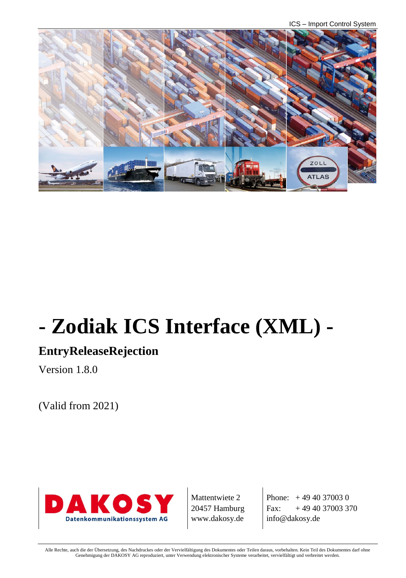ICS – Import Control System



# **- Zodiak ICS Interface (XML) -**

# **EntryReleaseRejection**

Version 1.8.0

(Valid from 2021)



Mattentwiete 2 20457 Hamburg www.dakosy.de

Phone:  $+4940370030$ Fax:  $+494037003370$ info@dakosy.de

Alle Rechte, auch die der Übersetzung, des Nachdruckes oder der Vervielfältigung des Dokumentes oder Teilen daraus, vorbehalten. Kein Teil des Dokumentes darf ohne Genehmigung der DAKOSY AG reproduziert, unter Verwendung elektronischer Systeme verarbeitet, vervielfältigt und verbreitet werden.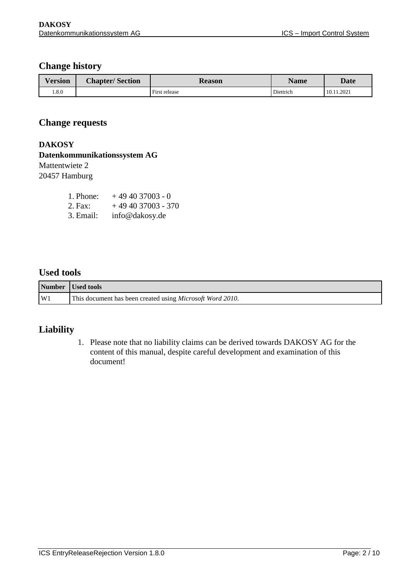### **Change history**

| Version | <b>Chapter/Section</b> | <b>Reason</b> | <b>Name</b> | <b>Date</b> |
|---------|------------------------|---------------|-------------|-------------|
| 0.8.0   |                        | First release | Diettrich   | 10.11.2021  |

#### **Change requests**

#### **DAKOSY**

### **Datenkommunikationssystem AG**

# Mattentwiete 2

20457 Hamburg

| 1. Phone: | $+494037003 - 0$   |
|-----------|--------------------|
| 2. Fax:   | $+494037003 - 370$ |
| 3. Email: | info@dakosy.de     |

#### **Used tools**

|    | Number Used tools                                                 |
|----|-------------------------------------------------------------------|
| W1 | This document has been created using <i>Microsoft Word 2010</i> . |

#### **Liability**

1. Please note that no liability claims can be derived towards DAKOSY AG for the content of this manual, despite careful development and examination of this document!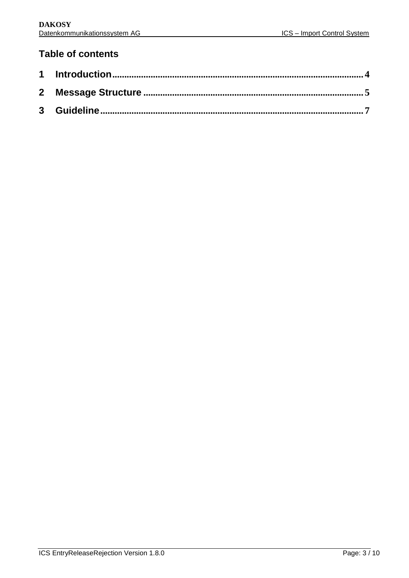## **Table of contents**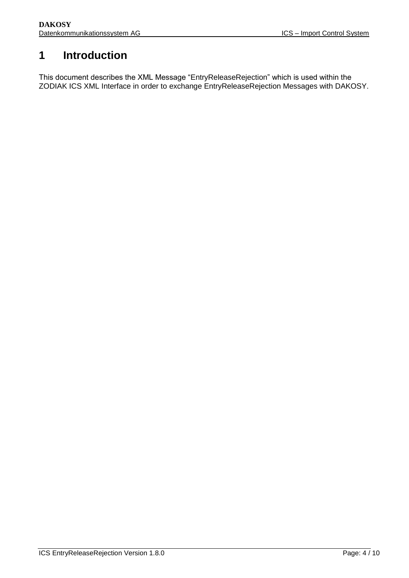# <span id="page-3-0"></span>**1 Introduction**

This document describes the XML Message "EntryReleaseRejection" which is used within the ZODIAK ICS XML Interface in order to exchange EntryReleaseRejection Messages with DAKOSY.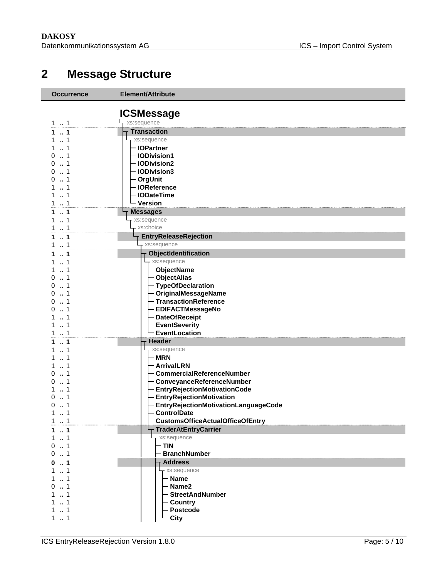# **Message Structure**

<span id="page-4-0"></span>

| <b>Occurrence</b> | Element/Attribute                                                  |
|-------------------|--------------------------------------------------------------------|
|                   | <b>ICSMessage</b>                                                  |
| 11                | - xs:sequence                                                      |
| $\dots$ 1<br>1.   | <b>Transaction</b>                                                 |
| 1                 | xs:sequence                                                        |
| 1                 | - IOPartner                                                        |
| 1<br>0            | - IODivision1                                                      |
| 1<br>0            | - IODivision2                                                      |
| 1<br>0            | - <b>IODivision3</b>                                               |
| 1<br>0            | - OrgUnit                                                          |
| 1<br>$\ldots$ 1   | - IOReference<br>- IODateTime                                      |
| $\dots$ 1<br>1    | - Version                                                          |
| $\cdot$ 1         | <b>Messages</b>                                                    |
| 1<br>1            | xs:sequence                                                        |
| 1                 | - xs:choice                                                        |
| $\ldots$ 1<br>1   | <b>EntryReleaseRejection</b>                                       |
| $\ldots$ 1<br>1   | xs:sequence                                                        |
| 1                 | ObjectIdentification                                               |
| 1                 | - xs:sequence                                                      |
| 1                 | - ObjectName                                                       |
| 1<br>0            | - ObjectAlias                                                      |
| 1<br>0            | - TypeOfDeclaration                                                |
| 1<br>0            | - OriginalMessageName                                              |
| 1<br>0<br>1<br>0  | - TransactionReference<br><b>EDIFACTMessageNo</b>                  |
| 1                 | <b>DateOfReceipt</b>                                               |
| 1                 | <b>EventSeverity</b>                                               |
| 1<br>1            | <b>EventLocation</b>                                               |
| 1                 | <b>Header</b>                                                      |
| 1                 | xs:sequence                                                        |
| 1                 | - MRN                                                              |
| 1                 | <b>ArrivalLRN</b>                                                  |
| 1<br>0            | <b>CommercialReferenceNumber</b>                                   |
| 1<br>O<br>-1      | - ConveyanceReferenceNumber<br><b>EntryRejectionMotivationCode</b> |
| O                 | <b>EntryRejectionMotivation</b>                                    |
| 1<br>0            | EntryRejectionMotivationLanguageCode                               |
| 1<br>1            | <b>ControlDate</b>                                                 |
| $\ldots$ 1<br>1   | <b>CustomsOfficeActualOfficeOfEntry</b>                            |
| 1                 | <b>TraderAtEntryCarrier</b>                                        |
| 1                 | - xs:sequence                                                      |
| 1                 | - TIN                                                              |
| 1<br>0            | <b>BranchNumber</b>                                                |
| -1                | <b>Address</b><br>xs:sequence                                      |
| 1<br>1            | - Name                                                             |
| -1                | - Name2                                                            |
|                   | <b>StreetAndNumber</b>                                             |
|                   | - Country                                                          |
| 1                 | Postcode                                                           |
| $\ldots$ 1<br>1   | City                                                               |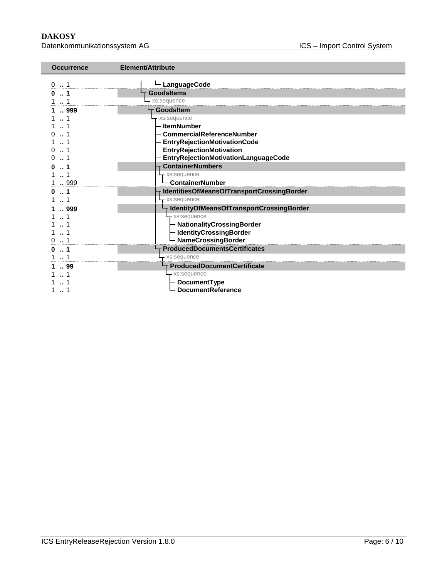**DAKOSY**<br>Datenkommunikationssystem AG<br>Datenkommunikationssystem AG<br>
Batenkommunikationssystem AG Datenkommunikationssystem AG

| Element/Attribute<br><b>Occurrence</b>          |  |
|-------------------------------------------------|--|
| LanguageCode<br>0.1                             |  |
| <b>GoodsItems</b>                               |  |
| xs:sequence                                     |  |
| GoodsItem                                       |  |
| 999<br>1<br>xs:sequence                         |  |
| <b>ItemNumber</b>                               |  |
| CommercialReferenceNumber                       |  |
| <b>EntryRejectionMotivationCode</b>             |  |
| <b>EntryRejectionMotivation</b>                 |  |
| EntryRejectionMotivationLanguageCode            |  |
| <b>ContainerNumbers</b>                         |  |
| xs:sequence                                     |  |
| <b>ContainerNumber</b><br>999                   |  |
| IdentitiesOfMeansOfTransportCrossingBorder      |  |
| - xs:sequence                                   |  |
| IdentityOfMeansOfTransportCrossingBorder<br>999 |  |
| - xs:sequence                                   |  |
| - NationalityCrossingBorder                     |  |
| - IdentityCrossingBorder                        |  |
| - NameCrossingBorder                            |  |
| <b>ProducedDocumentsCertificates</b><br>. 1     |  |
| xs:sequence                                     |  |
| ProducedDocumentCertificate<br>99               |  |
| - xs:sequence                                   |  |
| DocumentType                                    |  |
| <b>DocumentReference</b>                        |  |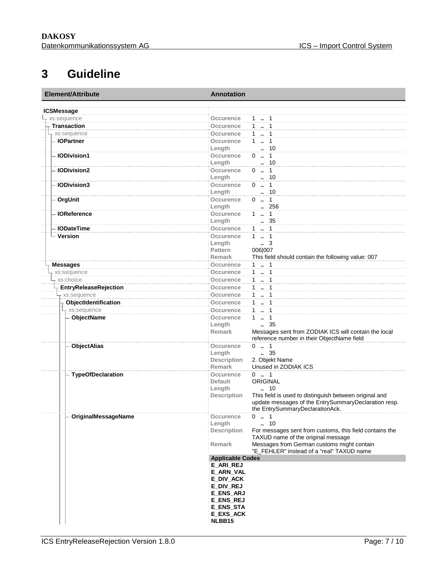# **3 Guideline**

<span id="page-6-0"></span>

| Element/Attribute        | <b>Annotation</b>             |                                                                                                                |  |
|--------------------------|-------------------------------|----------------------------------------------------------------------------------------------------------------|--|
| <b>ICSMessage</b>        |                               |                                                                                                                |  |
| xs:sequence              | Occurence                     | $1 - 1$                                                                                                        |  |
| <b>Transaction</b>       | Occurence                     | 1  1                                                                                                           |  |
| + xs:sequence            | <b>Occurence</b>              | $1 \t  \t 1$                                                                                                   |  |
| - IOPartner              | Occurence                     | $1 \t  \t 1$                                                                                                   |  |
|                          | Length                        | $\cdot$ 10                                                                                                     |  |
| <b>IODivision1</b>       | Occurence                     | $0 \t  1$                                                                                                      |  |
|                          | Length                        | 10                                                                                                             |  |
| <b>IODivision2</b>       | Occurence                     | $0 \t  \t 1$                                                                                                   |  |
|                          | Length                        | . 10                                                                                                           |  |
| <b>IODivision3</b>       | Occurence                     | $0 \ldots 1$                                                                                                   |  |
|                          | Length                        | 10                                                                                                             |  |
| OrgUnit                  | Occurence                     | $0 \t  1$                                                                                                      |  |
|                          | Length                        | 256                                                                                                            |  |
| <b>IOReference</b>       | Occurence                     | $1 \t  \t 1$                                                                                                   |  |
|                          | Length                        | . 35                                                                                                           |  |
| <b>IODateTime</b>        | Occurence                     | 1  1                                                                                                           |  |
| - Version                | Occurence                     | $1 - 1$                                                                                                        |  |
|                          | Length                        | $\cdot$ 3                                                                                                      |  |
|                          | Pattern                       | 006 007                                                                                                        |  |
|                          | Remark                        | This field should contain the following value: 007                                                             |  |
| <b>Messages</b>          | Occurence                     | $1 - 1$                                                                                                        |  |
| xs:sequence              | Occurence                     | 11                                                                                                             |  |
| xs:choice                | Occurence                     | 1  1                                                                                                           |  |
| EntryReleaseRejection    | Occurence                     | 1  1                                                                                                           |  |
| xs:sequence              | Occurence                     | $1 - 1$                                                                                                        |  |
| ObjectIdentification     | Occurence                     | 1  1                                                                                                           |  |
| xs:sequence              | <b>Occurence</b>              | 1  1                                                                                                           |  |
| ObjectName               | Occurence                     | $1 \t  \t 1$                                                                                                   |  |
|                          | Length                        | $\frac{1}{2}$ 35                                                                                               |  |
|                          | <b>Remark</b>                 | Messages sent from ZODIAK ICS will contain the local                                                           |  |
|                          |                               | reference number in their ObjectName field                                                                     |  |
| <b>ObjectAlias</b>       | Occurence                     | $0 \t  1$                                                                                                      |  |
|                          | Length                        | $\frac{1}{2}$ 35                                                                                               |  |
|                          | <b>Description</b>            | 2. Objekt Name                                                                                                 |  |
|                          | <b>Remark</b>                 | Unused in ZODIAK ICS                                                                                           |  |
| <b>TypeOfDeclaration</b> | Occurence                     | $0 \t  1$                                                                                                      |  |
|                          | <b>Default</b>                | <b>ORIGINAL</b>                                                                                                |  |
|                          | Length                        | 10                                                                                                             |  |
|                          | <b>Description</b>            | This field is used to distinguish between original and<br>update messages of the EntrySummaryDeclaration resp. |  |
|                          |                               | the EntrySummaryDeclarationAck.                                                                                |  |
| OriginalMessageName      | occurence                     | $0 \t  1$                                                                                                      |  |
|                          | Length                        | 10                                                                                                             |  |
|                          | <b>Description</b>            | For messages sent from customs, this field contains the                                                        |  |
|                          |                               | TAXUD name of the original message                                                                             |  |
|                          | Remark                        | Messages from German customs might contain                                                                     |  |
|                          |                               | "E_FEHLER" instead of a "real" TAXUD name                                                                      |  |
|                          | <b>Applicable Codes</b>       |                                                                                                                |  |
|                          | E_ARI_REJ                     |                                                                                                                |  |
|                          | E_ARN_VAL                     |                                                                                                                |  |
|                          | E_DIV_ACK                     |                                                                                                                |  |
|                          | E_DIV_REJ<br><b>E_ENS_ARJ</b> |                                                                                                                |  |
|                          | <b>E_ENS_REJ</b>              |                                                                                                                |  |
|                          | <b>E_ENS_STA</b>              |                                                                                                                |  |
|                          | <b>E_EXS_ACK</b>              |                                                                                                                |  |
|                          | NLBB15                        |                                                                                                                |  |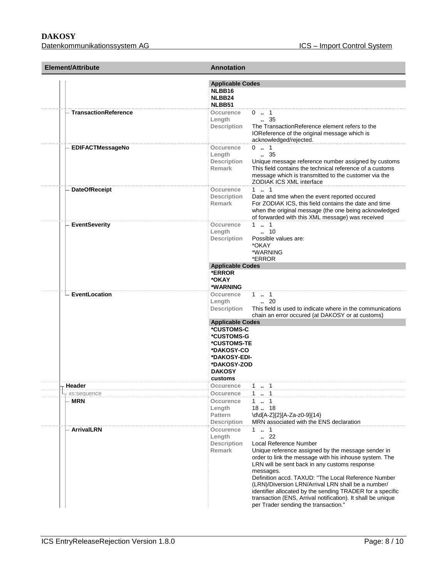**DAKOSY**<br>Datenkommunikationssystem AG<br>Datenkommunikationssystem AG<br>
Batenkommunikationssystem AG Datenkommunikationssystem AG

| Element/Attribute           | <b>Annotation</b>                                                                                                                                                                                                                                                                                                                                                                                                                                                                                                                                                          |  |  |
|-----------------------------|----------------------------------------------------------------------------------------------------------------------------------------------------------------------------------------------------------------------------------------------------------------------------------------------------------------------------------------------------------------------------------------------------------------------------------------------------------------------------------------------------------------------------------------------------------------------------|--|--|
|                             | <b>Applicable Codes</b><br>NLBB16<br>NLBB24<br>NLBB51                                                                                                                                                                                                                                                                                                                                                                                                                                                                                                                      |  |  |
| <b>TransactionReference</b> | <b>Occurence</b><br>$0 \t  1$<br>$\, 35$<br>Length<br>The TransactionReference element refers to the<br>Description<br>IOReference of the original message which is<br>acknowledged/rejected.                                                                                                                                                                                                                                                                                                                                                                              |  |  |
| EDIFACTMessageNo            | $0 \t  1$<br>Occurence<br>$\, 35$<br>Length<br>Unique message reference number assigned by customs<br><b>Description</b><br>Remark<br>This field contains the technical reference of a customs<br>message which is transmitted to the customer via the<br>ZODIAK ICS XML interface                                                                                                                                                                                                                                                                                         |  |  |
| <b>DateOfReceipt</b>        | 11<br>Occurence<br><b>Description</b><br>Date and time when the event reported occured<br>For ZODIAK ICS, this field contains the date and time<br>Remark<br>when the original message (the one being acknowledged<br>of forwarded with this XML message) was received                                                                                                                                                                                                                                                                                                     |  |  |
| <b>EventSeverity</b>        | 11<br>Occurence<br>$\ldots$ 10<br>Length<br>Description<br>Possible values are:<br>*OKAY<br>*WARNING<br>*ERROR                                                                                                                                                                                                                                                                                                                                                                                                                                                             |  |  |
|                             | <b>Applicable Codes</b><br>*ERROR<br>*OKAY<br>*WARNING                                                                                                                                                                                                                                                                                                                                                                                                                                                                                                                     |  |  |
| - EventLocation             | $1 \t  \t 1$<br>Occurence<br>$\ldots$ 20<br>Length<br>This field is used to indicate where in the communications<br><b>Description</b><br>chain an error occured (at DAKOSY or at customs)<br><b>Applicable Codes</b>                                                                                                                                                                                                                                                                                                                                                      |  |  |
|                             | *CUSTOMS-C<br>*CUSTOMS-G<br>*CUSTOMS-TE<br>*DAKOSY-CO<br>*DAKOSY-EDI-<br>*DAKOSY-ZOD<br><b>DAKOSY</b><br>customs                                                                                                                                                                                                                                                                                                                                                                                                                                                           |  |  |
| Header                      | $1 \t  \t 1$<br>Occurence                                                                                                                                                                                                                                                                                                                                                                                                                                                                                                                                                  |  |  |
| xs:sequence<br><b>MRN</b>   | $1 \t{.} 1$<br>Occurence<br>$1 \t  1$<br>Occurence<br>1818<br>Length<br><b>Pattern</b><br>\d\d[A-Z]{2}[A-Za-z0-9]{14}<br>MRN associated with the ENS declaration<br><b>Description</b>                                                                                                                                                                                                                                                                                                                                                                                     |  |  |
| <b>ArrivalLRN</b>           | $1 \t  \t 1$<br>Occurence<br>.22<br>Length<br>Local Reference Number<br><b>Description</b><br><b>Remark</b><br>Unique reference assigned by the message sender in<br>order to link the message with his inhouse system. The<br>LRN will be sent back in any customs response<br>messages.<br>Definition accd. TAXUD: "The Local Reference Number<br>(LRN)/Diversion LRN/Arrival LRN shall be a number/<br>identifier allocated by the sending TRADER for a specific<br>transaction (ENS, Arrival notification). It shall be unique<br>per Trader sending the transaction." |  |  |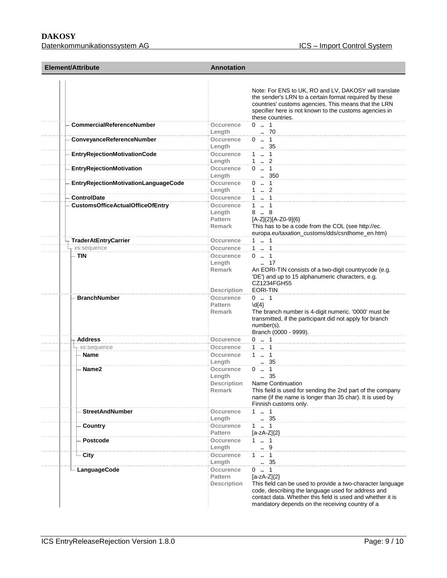| Element/Attribute                       | <b>Annotation</b>                                                                                                                                                                                                                                                                                               |  |
|-----------------------------------------|-----------------------------------------------------------------------------------------------------------------------------------------------------------------------------------------------------------------------------------------------------------------------------------------------------------------|--|
|                                         | Note: For ENS to UK, RO and LV, DAKOSY will translate<br>the sender's LRN to a certain format required by these<br>countries' customs agencies. This means that the LRN<br>specifier here is not known to the customs agencies in<br>these countries.                                                           |  |
| - CommercialReferenceNumber             | $0 \t  1$<br>Occurence<br>.70<br>Length                                                                                                                                                                                                                                                                         |  |
| ConveyanceReferenceNumber               | $0 \t  1$<br>Occurence<br>. 35<br>Length                                                                                                                                                                                                                                                                        |  |
| <b>EntryRejectionMotivationCode</b>     | Occurence<br>$1 \t  \t 1$<br>1  2<br>Length                                                                                                                                                                                                                                                                     |  |
| <b>EntryRejectionMotivation</b>         | $0 \t  1$<br>Occurence<br>350<br>Length                                                                                                                                                                                                                                                                         |  |
| EntryRejectionMotivationLanguageCode    | $0 \t  1$<br>Occurence<br>Length<br>1  2                                                                                                                                                                                                                                                                        |  |
| <b>ControlDate</b>                      | $1 \t  \t 1$<br>Occurence                                                                                                                                                                                                                                                                                       |  |
| <b>CustomsOfficeActualOfficeOfEntry</b> | $1 - 1$<br>Occurence                                                                                                                                                                                                                                                                                            |  |
|                                         | 88<br>Length<br>[A-Z]{2}[A-Z0-9]{6}<br><b>Pattern</b><br>This has to be a code from the COL (see http://ec.<br><b>Remark</b><br>europa.eu/taxation_customs/dds/csrdhome_en.htm)                                                                                                                                 |  |
| <b>TraderAtEntryCarrier</b>             | $1 \t  \t 1$<br>Occurence                                                                                                                                                                                                                                                                                       |  |
| - xs:sequence                           | $1 - 1$<br>Occurence                                                                                                                                                                                                                                                                                            |  |
| – TIN                                   | $0 \t  1$<br>Occurence<br>17<br>Length<br>Remark<br>An EORI-TIN consists of a two-digit countrycode (e.g.<br>'DE') and up to 15 alphanumeric characters, e.g.<br>CZ1234FGH55<br>EORI-TIN<br><b>Description</b>                                                                                                  |  |
| <b>BranchNumber</b>                     | $0 \t  1$<br>Occurence<br>$\{4\}$<br>Pattern<br>The branch number is 4-digit numeric. '0000' must be<br><b>Remark</b><br>transmitted, if the participant did not apply for branch<br>number(s).<br>Branch (0000 - 9999).                                                                                        |  |
| <b>Address</b>                          | $0 \t  1$<br>Occurence                                                                                                                                                                                                                                                                                          |  |
| xs:sequence                             | Occurence<br>$1 - 1$                                                                                                                                                                                                                                                                                            |  |
| Name                                    | 11<br><b>Occurence</b><br>. 35<br>Lenath                                                                                                                                                                                                                                                                        |  |
| Name2                                   | Occurence<br>$0 \t  1$<br>35<br>Length<br>$\sim$<br>Name Continuation<br><b>Description</b><br>This field is used for sending the 2nd part of the company<br>Remark<br>name (if the name is longer than 35 char). It is used by<br>Finnish customs only.                                                        |  |
| <b>StreetAndNumber</b>                  | $1 \t  \t 1$<br>Occurence<br>$\therefore$ 35<br>Length                                                                                                                                                                                                                                                          |  |
| Country                                 | Occurence<br>1 . 1<br>Pattern<br>$[a-zA-Z]\{2\}$                                                                                                                                                                                                                                                                |  |
| <b>Postcode</b>                         | $1 \t  \t 1$<br>Occurence<br>9<br>Length                                                                                                                                                                                                                                                                        |  |
| - City                                  | Occurence<br>$\ldots$ 1<br>1<br>. 35<br>Length                                                                                                                                                                                                                                                                  |  |
| LanguageCode                            | Occurence<br>$0 \t  1$<br>$[a-zA-Z]\{2\}$<br>Pattern<br><b>Description</b><br>This field can be used to provide a two-character language<br>code, describing the language used for address and<br>contact data. Whether this field is used and whether it is<br>mandatory depends on the receiving country of a |  |